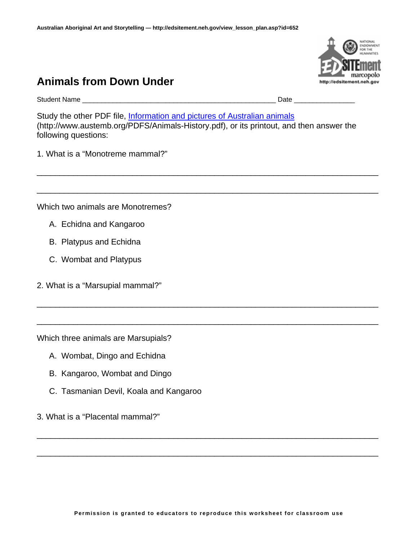## **Animals from Down Under**

Student Name **Law Example 2008** and the student Name **Date Date Date Contract 2008** and the student of the student of the student of the student of the student of the student of the student of the student of the stud

Study the other PDF file, [Information and pictures of Australian animals](http://www.austemb.org/PDFS/Animals-History.pdf) (http://www.austemb.org/PDFS/Animals-History.pdf), or its printout, and then answer the following questions:

\_\_\_\_\_\_\_\_\_\_\_\_\_\_\_\_\_\_\_\_\_\_\_\_\_\_\_\_\_\_\_\_\_\_\_\_\_\_\_\_\_\_\_\_\_\_\_\_\_\_\_\_\_\_\_\_\_\_\_\_\_\_\_\_\_\_\_\_\_\_\_\_\_\_\_

\_\_\_\_\_\_\_\_\_\_\_\_\_\_\_\_\_\_\_\_\_\_\_\_\_\_\_\_\_\_\_\_\_\_\_\_\_\_\_\_\_\_\_\_\_\_\_\_\_\_\_\_\_\_\_\_\_\_\_\_\_\_\_\_\_\_\_\_\_\_\_\_\_\_\_

\_\_\_\_\_\_\_\_\_\_\_\_\_\_\_\_\_\_\_\_\_\_\_\_\_\_\_\_\_\_\_\_\_\_\_\_\_\_\_\_\_\_\_\_\_\_\_\_\_\_\_\_\_\_\_\_\_\_\_\_\_\_\_\_\_\_\_\_\_\_\_\_\_\_\_

\_\_\_\_\_\_\_\_\_\_\_\_\_\_\_\_\_\_\_\_\_\_\_\_\_\_\_\_\_\_\_\_\_\_\_\_\_\_\_\_\_\_\_\_\_\_\_\_\_\_\_\_\_\_\_\_\_\_\_\_\_\_\_\_\_\_\_\_\_\_\_\_\_\_\_

1. What is a "Monotreme mammal?"

Which two animals are Monotremes?

- A. Echidna and Kangaroo
- B. Platypus and Echidna
- C. Wombat and Platypus
- 2. What is a "Marsupial mammal?"

Which three animals are Marsupials?

- A. Wombat, Dingo and Echidna
- B. Kangaroo, Wombat and Dingo
- C. Tasmanian Devil, Koala and Kangaroo
- 3. What is a "Placental mammal?"

\_\_\_\_\_\_\_\_\_\_\_\_\_\_\_\_\_\_\_\_\_\_\_\_\_\_\_\_\_\_\_\_\_\_\_\_\_\_\_\_\_\_\_\_\_\_\_\_\_\_\_\_\_\_\_\_\_\_\_\_\_\_\_\_\_\_\_\_\_\_\_\_\_\_\_

\_\_\_\_\_\_\_\_\_\_\_\_\_\_\_\_\_\_\_\_\_\_\_\_\_\_\_\_\_\_\_\_\_\_\_\_\_\_\_\_\_\_\_\_\_\_\_\_\_\_\_\_\_\_\_\_\_\_\_\_\_\_\_\_\_\_\_\_\_\_\_\_\_\_\_

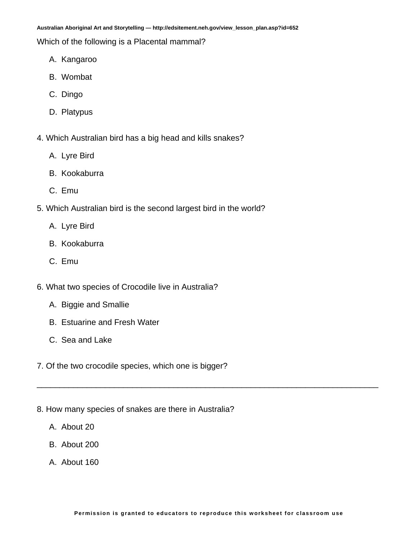**Australian Aboriginal Art and Storytelling — http://edsitement.neh.gov/view\_lesson\_plan.asp?id=652** 

Which of the following is a Placental mammal?

- A. Kangaroo
- B. Wombat
- C. Dingo
- D. Platypus
- 4. Which Australian bird has a big head and kills snakes?
	- A. Lyre Bird
	- B. Kookaburra
	- C. Emu
- 5. Which Australian bird is the second largest bird in the world?
	- A. Lyre Bird
	- B. Kookaburra
	- C. Emu
- 6. What two species of Crocodile live in Australia?
	- A. Biggie and Smallie
	- B. Estuarine and Fresh Water
	- C. Sea and Lake
- 7. Of the two crocodile species, which one is bigger?
- 8. How many species of snakes are there in Australia?
	- A. About 20
	- B. About 200
	- A. About 160

\_\_\_\_\_\_\_\_\_\_\_\_\_\_\_\_\_\_\_\_\_\_\_\_\_\_\_\_\_\_\_\_\_\_\_\_\_\_\_\_\_\_\_\_\_\_\_\_\_\_\_\_\_\_\_\_\_\_\_\_\_\_\_\_\_\_\_\_\_\_\_\_\_\_\_